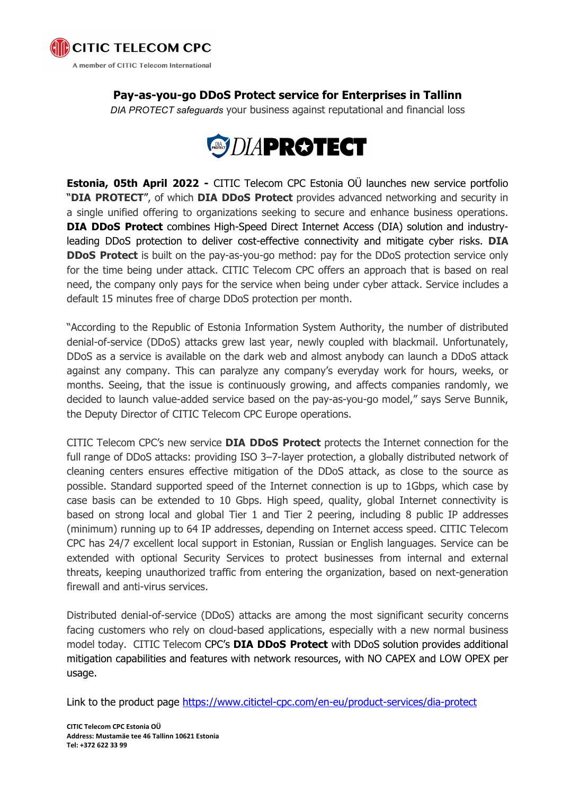

## **Pay-as-you-go DDoS Protect service for Enterprises in Tallinn**

*DIA PROTECT safeguards* your business against reputational and financial loss



**Estonia, 05th April 2022 -** CITIC Telecom CPC Estonia OÜ launches new service portfolio "DIA [PROTECT](https://www.citictel-cpc.com/en-eu/product-services/dia-protect)", of which DIA DDoS Protect provides advanced networking and security in a single unified offering to organizations seeking to secure and enhance business operations. **DIA DDoS Protect** combines High-Speed Direct Internet Access (DIA) solution and industryleading DDoS protection to deliver cost-effective connectivity and mitigate cyber risks. **DIA DDoS Protect** is built on the pay-as-you-go method: pay for the DDoS protection service only for the time being under attack. CITIC Telecom CPC offers an approach that is based on real need, the company only pays for the service when being under cyber attack. Service includes a default 15 minutes free of charge DDoS protection per month.

"According to the Republic of Estonia Information System Authority, the number of distributed denial-of-service (DDoS) attacks grew last year, newly coupled with blackmail. Unfortunately, DDoS as a service is available on the dark web and almost anybody can launch a DDoS attack against any company. This can paralyze any company's everyday work for hours, weeks, or months. Seeing, that the issue is continuously growing, and affects companies randomly, we decided to launch value-added service based on the pay-as-you-go model," says Serve Bunnik, the Deputy Director of CITIC Telecom CPC Europe operations.

CITIC Telecom CPC's new service **DIA DDoS Protect** protects the Internet connection for the full range of DDoS attacks: providing ISO 3–7-layer protection, a globally distributed network of cleaning centers ensures effective mitigation of the DDoS attack, as close to the source as possible. Standard supported speed of the Internet connection is up to 1Gbps, which case by case basis can be extended to 10 Gbps. High speed, quality, global Internet connectivity is based on strong local and global Tier 1 and Tier 2 peering, including 8 public IP addresses (minimum) running up to 64 IP addresses, depending on Internet access speed. CITIC Telecom CPC has 24/7 excellent local support in Estonian, Russian or English languages. Service can be extended with optional Security Services to protect businesses from internal and external threats, keeping unauthorized traffic from entering the organization, based on next-generation firewall and anti-virus services.

Distributed denial-of-service (DDoS) attacks are among the most significant security concerns facing customers who rely on cloud-based applications, especially with a new normal business model today. CITIC Telecom CPC's **DIA DDoS Protect** with DDoS solution provides additional mitigation capabilities and features with network resources, with NO CAPEX and LOW OPEX per usage.

Link to the product page <https://www.citictel-cpc.com/en-eu/product-services/dia-protect>